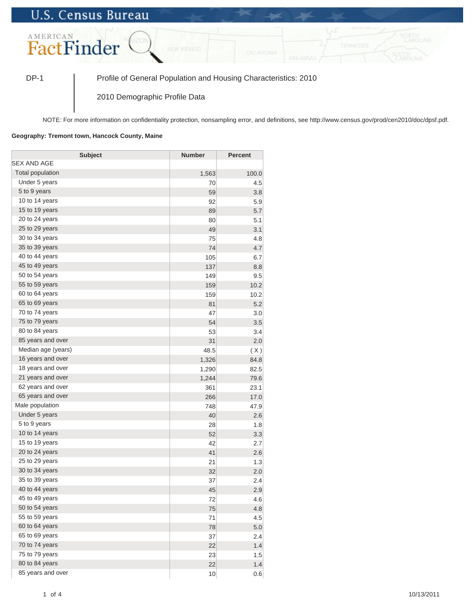## **U.S. Census Bureau**



DP-1 Profile of General Population and Housing Characteristics: 2010

2010 Demographic Profile Data

NOTE: For more information on confidentiality protection, nonsampling error, and definitions, see http://www.census.gov/prod/cen2010/doc/dpsf.pdf.

## **Geography: Tremont town, Hancock County, Maine**

| <b>Subject</b>     | <b>Number</b> | <b>Percent</b> |
|--------------------|---------------|----------------|
| SEX AND AGE        |               |                |
| Total population   | 1,563         | 100.0          |
| Under 5 years      | 70            | 4.5            |
| 5 to 9 years       | 59            | 3.8            |
| 10 to 14 years     | 92            | 5.9            |
| 15 to 19 years     | 89            | 5.7            |
| 20 to 24 years     | 80            | 5.1            |
| 25 to 29 years     | 49            | 3.1            |
| 30 to 34 years     | 75            | 4.8            |
| 35 to 39 years     | 74            | 4.7            |
| 40 to 44 years     | 105           | 6.7            |
| 45 to 49 years     | 137           | 8.8            |
| 50 to 54 years     | 149           | 9.5            |
| 55 to 59 years     | 159           | 10.2           |
| 60 to 64 years     | 159           | 10.2           |
| 65 to 69 years     | 81            | 5.2            |
| 70 to 74 years     | 47            | 3.0            |
| 75 to 79 years     | 54            | 3.5            |
| 80 to 84 years     | 53            | 3.4            |
| 85 years and over  | 31            | 2.0            |
| Median age (years) | 48.5          | (X)            |
| 16 years and over  | 1,326         | 84.8           |
| 18 years and over  | 1,290         | 82.5           |
| 21 years and over  | 1,244         | 79.6           |
| 62 years and over  | 361           | 23.1           |
| 65 years and over  | 266           | 17.0           |
| Male population    | 748           | 47.9           |
| Under 5 years      | 40            | 2.6            |
| 5 to 9 years       | 28            | 1.8            |
| 10 to 14 years     | 52            | 3.3            |
| 15 to 19 years     | 42            | 2.7            |
| 20 to 24 years     | 41            | 2.6            |
| 25 to 29 years     | 21            | 1.3            |
| 30 to 34 years     | 32            | 2.0            |
| 35 to 39 years     | 37            | 2.4            |
| 40 to 44 years     | 45            | 2.9            |
| 45 to 49 years     | 72            | 4.6            |
| 50 to 54 years     | 75            | 4.8            |
| 55 to 59 years     | 71            | 4.5            |
| 60 to 64 years     | 78            | 5.0            |
| 65 to 69 years     | 37            | 2.4            |
| 70 to 74 years     | 22            | 1.4            |
| 75 to 79 years     | 23            | 1.5            |
| 80 to 84 years     | 22            | 1.4            |
| 85 years and over  | 10            | 0.6            |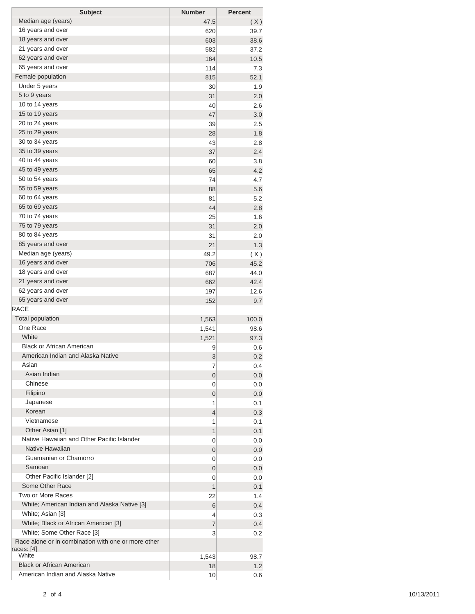| <b>Subject</b>                                      | <b>Number</b> | <b>Percent</b> |
|-----------------------------------------------------|---------------|----------------|
| Median age (years)                                  | 47.5          | (X)            |
| 16 years and over                                   | 620           | 39.7           |
| 18 years and over                                   | 603           | 38.6           |
| 21 years and over                                   | 582           | 37.2           |
| 62 years and over                                   | 164           | 10.5           |
| 65 years and over                                   | 114           | 7.3            |
| Female population                                   | 815           | 52.1           |
| Under 5 years                                       | 30            | 1.9            |
| 5 to 9 years                                        | 31            | 2.0            |
| 10 to 14 years                                      | 40            | 2.6            |
| 15 to 19 years                                      | 47            | 3.0            |
| 20 to 24 years                                      | 39            | 2.5            |
| 25 to 29 years                                      | 28            | 1.8            |
| 30 to 34 years                                      | 43            | 2.8            |
| 35 to 39 years                                      | 37            | 2.4            |
| 40 to 44 years                                      | 60            | 3.8            |
| 45 to 49 years                                      | 65            | 4.2            |
| 50 to 54 years                                      | 74            | 4.7            |
| 55 to 59 years                                      | 88            | 5.6            |
| 60 to 64 years                                      | 81            | 5.2            |
| 65 to 69 years                                      | 44            | 2.8            |
| 70 to 74 years                                      | 25            | 1.6            |
| 75 to 79 years                                      | 31            | 2.0            |
| 80 to 84 years                                      |               |                |
| 85 years and over                                   | 31            | 2.0            |
| Median age (years)                                  | 21            | 1.3            |
|                                                     | 49.2          | (X)            |
| 16 years and over                                   | 706           | 45.2           |
| 18 years and over                                   | 687           | 44.0           |
| 21 years and over                                   | 662           | 42.4           |
| 62 years and over                                   | 197           | 12.6           |
| 65 years and over                                   | 152           | 9.7            |
| <b>RACE</b>                                         |               |                |
| <b>Total population</b>                             | 1,563         | 100.0          |
| One Race                                            | 1,541         | 98.6           |
| White                                               | 1,521         | 97.3           |
| <b>Black or African American</b>                    | 9             | 0.6            |
| American Indian and Alaska Native                   | 3             | 0.2            |
| Asian                                               | 7             | 0.4            |
| Asian Indian                                        | 0             | 0.0            |
| Chinese                                             | 0             | 0.0            |
| Filipino                                            | 0             | 0.0            |
| Japanese                                            | 1             | 0.1            |
| Korean                                              | 4             | 0.3            |
| Vietnamese                                          | 1             | 0.1            |
| Other Asian [1]                                     | 1             | 0.1            |
| Native Hawaiian and Other Pacific Islander          | 0             | 0.0            |
| Native Hawaiian                                     | 0             | 0.0            |
| Guamanian or Chamorro                               | 0             | 0.0            |
| Samoan                                              | 0             | 0.0            |
| Other Pacific Islander [2]                          | 0             | 0.0            |
| Some Other Race                                     | 1             | 0.1            |
| Two or More Races                                   | 22            | 1.4            |
| White; American Indian and Alaska Native [3]        | 6             | 0.4            |
| White; Asian [3]                                    | 4             | 0.3            |
| White; Black or African American [3]                | 7             | 0.4            |
| White; Some Other Race [3]                          | 3             | 0.2            |
| Race alone or in combination with one or more other |               |                |
| races: [4]                                          |               |                |
| White                                               | 1,543         | 98.7           |
| <b>Black or African American</b>                    | 18            | 1.2            |
| American Indian and Alaska Native                   | 10            | 0.6            |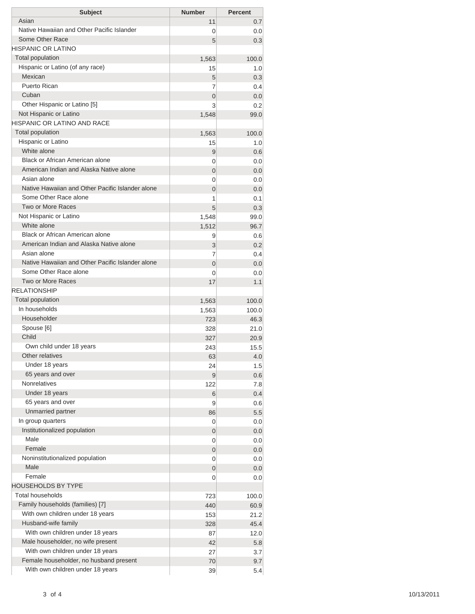| <b>Subject</b>                                   | <b>Number</b>       | <b>Percent</b> |
|--------------------------------------------------|---------------------|----------------|
| Asian                                            | 11                  | 0.7            |
| Native Hawaiian and Other Pacific Islander       | 0                   | 0.0            |
| Some Other Race                                  | 5                   | 0.3            |
| HISPANIC OR LATINO                               |                     |                |
| <b>Total population</b>                          | 1,563               | 100.0          |
| Hispanic or Latino (of any race)<br>Mexican      | 15                  | 1.0            |
| Puerto Rican                                     | 5<br>7              | 0.3            |
| Cuban                                            | $\overline{0}$      | 0.4<br>0.0     |
| Other Hispanic or Latino [5]                     | 3                   | 0.2            |
| Not Hispanic or Latino                           | 1,548               | 99.0           |
| HISPANIC OR LATINO AND RACE                      |                     |                |
| <b>Total population</b>                          | 1,563               | 100.0          |
| Hispanic or Latino                               | 15                  | 1.0            |
| White alone                                      | 9                   | 0.6            |
| Black or African American alone                  | 0                   | 0.0            |
| American Indian and Alaska Native alone          | $\overline{0}$      | 0.0            |
| Asian alone                                      | 0                   | 0.0            |
| Native Hawaiian and Other Pacific Islander alone | 0                   | 0.0            |
| Some Other Race alone                            | 1                   | 0.1            |
| Two or More Races                                | 5                   | 0.3            |
| Not Hispanic or Latino                           | 1,548               | 99.0           |
| White alone<br>Black or African American alone   | 1,512               | 96.7           |
| American Indian and Alaska Native alone          | 9                   | 0.6            |
| Asian alone                                      | 3                   | 0.2            |
| Native Hawaiian and Other Pacific Islander alone | 7<br>$\overline{0}$ | 0.4            |
| Some Other Race alone                            | 0                   | 0.0<br>0.0     |
| Two or More Races                                | 17                  | 1.1            |
| <b>RELATIONSHIP</b>                              |                     |                |
| Total population                                 | 1,563               | 100.0          |
| In households                                    | 1,563               | 100.0          |
| Householder                                      | 723                 | 46.3           |
| Spouse [6]                                       | 328                 | 21.0           |
| Child                                            | 327                 | 20.9           |
| Own child under 18 years                         | 243                 | 15.5           |
| Other relatives                                  | 63                  | 4.0            |
| Under 18 years                                   | 24                  | 1.5            |
| 65 years and over                                | 9                   | 0.6            |
| <b>Nonrelatives</b>                              | 122                 | 7.8            |
| Under 18 years                                   | 6                   | 0.4            |
| 65 years and over                                | 9                   | 0.6            |
| Unmarried partner                                | 86                  | 5.5            |
| In group quarters                                | 0                   | 0.0            |
| Institutionalized population<br>Male             | 0                   | 0.0            |
| Female                                           | 0                   | 0.0            |
| Noninstitutionalized population                  | 0                   | 0.0<br>0.0     |
| Male                                             | 0<br>0              | 0.0            |
| Female                                           | 0                   | 0.0            |
| HOUSEHOLDS BY TYPE                               |                     |                |
| <b>Total households</b>                          | 723                 | 100.0          |
| Family households (families) [7]                 | 440                 | 60.9           |
| With own children under 18 years                 | 153                 | 21.2           |
| Husband-wife family                              | 328                 | 45.4           |
| With own children under 18 years                 | 87                  | 12.0           |
| Male householder, no wife present                | 42                  | 5.8            |
| With own children under 18 years                 | 27                  | 3.7            |
| Female householder, no husband present           | 70                  | 9.7            |
| With own children under 18 years                 | 39                  | 5.4            |